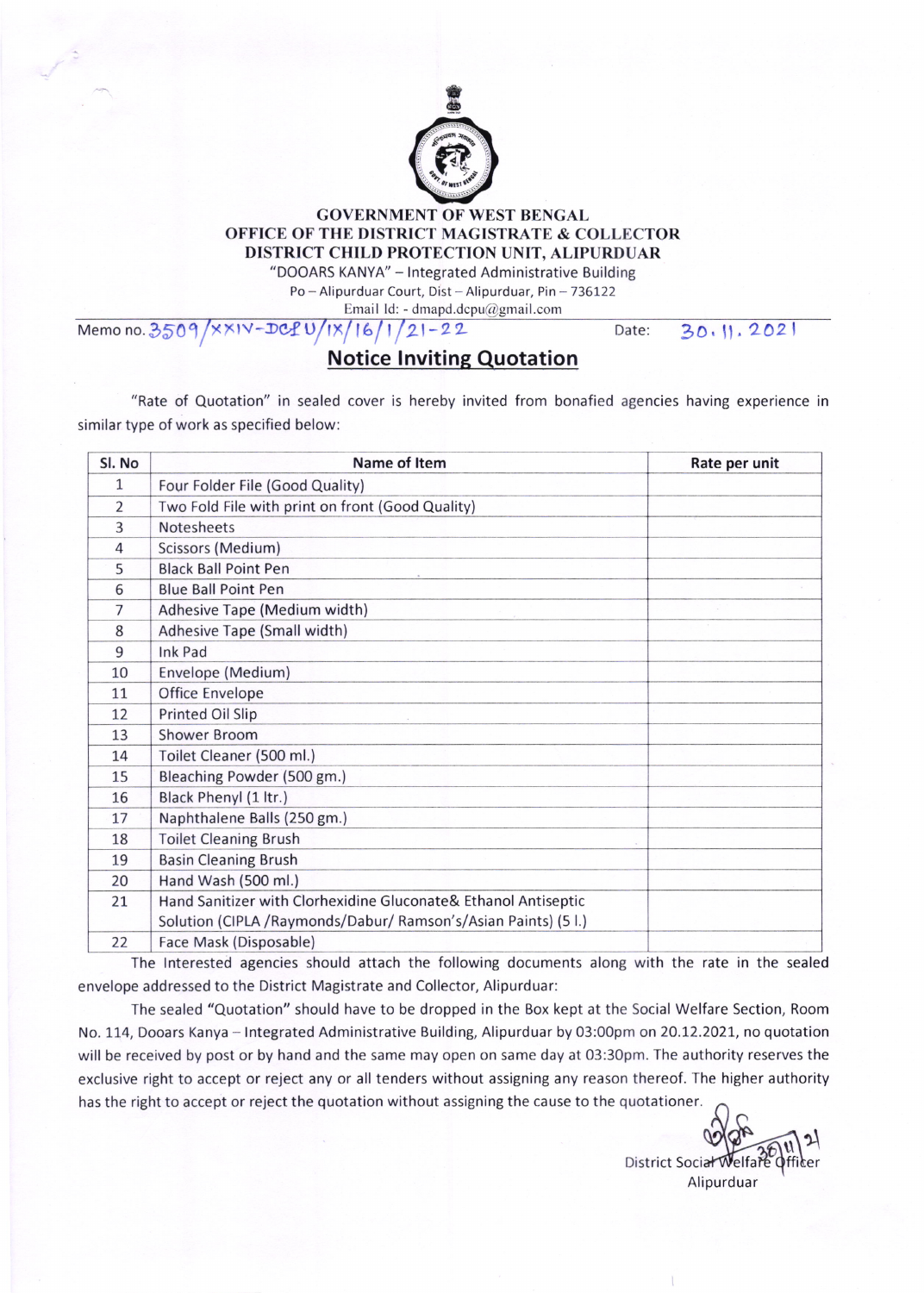

## GOVERNMENT OF WEST BENGAL OFFICE OF THE DISTRICT MAGISTRATE & COLLECTOR DISTRICT CHILD PROTECTION UNIT, ALIPURDUAR

"DOOARS KANYA" - lntegrated Administrative Building

Po - Alipurduar Court, Dist - Alipurduar, Pin - 736122

Email Id: - dmapd.dcpu@gmail.com

Memo no. 3509/xxIV-DCPU/IX/16/1/21-22

## Notice lnviting Quotation

Date: 30.11.2021

"Rate of Quotation" in sealed cover is hereby invited from bonafied agencies having experience in similar type of work as specified below:

| Sl. No       | Name of Item                                                    | Rate per unit |
|--------------|-----------------------------------------------------------------|---------------|
| $\mathbf{1}$ | Four Folder File (Good Quality)                                 |               |
| 2            | Two Fold File with print on front (Good Quality)                |               |
| 3            | Notesheets                                                      |               |
| 4            | Scissors (Medium)                                               |               |
| 5            | <b>Black Ball Point Pen</b>                                     |               |
| 6            | <b>Blue Ball Point Pen</b>                                      |               |
| 7            | Adhesive Tape (Medium width)                                    |               |
| 8            | Adhesive Tape (Small width)                                     |               |
| 9            | Ink Pad                                                         |               |
| 10           | Envelope (Medium)                                               |               |
| 11           | Office Envelope                                                 |               |
| 12           | Printed Oil Slip                                                |               |
| 13           | <b>Shower Broom</b>                                             |               |
| 14           | Toilet Cleaner (500 ml.)                                        |               |
| 15           | Bleaching Powder (500 gm.)                                      |               |
| 16           | Black Phenyl (1 ltr.)                                           |               |
| 17           | Naphthalene Balls (250 gm.)                                     |               |
| 18           | <b>Toilet Cleaning Brush</b>                                    |               |
| 19           | <b>Basin Cleaning Brush</b>                                     |               |
| 20           | Hand Wash (500 ml.)                                             |               |
| 21           | Hand Sanitizer with Clorhexidine Gluconate& Ethanol Antiseptic  |               |
|              | Solution (CIPLA / Raymonds/Dabur/ Ramson's/Asian Paints) (5 l.) |               |
| 22           | Face Mask (Disposable)                                          |               |

The lnterested agencies should attach the following documents along with the rate in the sealed envelope addressed to the District Magistrate and Collector, Alipurduar:

The sealed "Quotation" should have to be dropped in the Box kept at the Social Welfare Section, Room No. 114, Dooars Kanya - Integrated Administrative Building, Alipurduar by 03:00pm on 20.12.2021, no quotation will be received by post or by hand and the same may open on same day at 03:30pm. The authority reserves the exclusive right to accept or reject any or all tenders without assigning any reason thereof. The higher authority has the right to accept or reject the quotation without assigning the cause to the quotationer

District Soc  $\mathfrak{p}$ Alipurduar